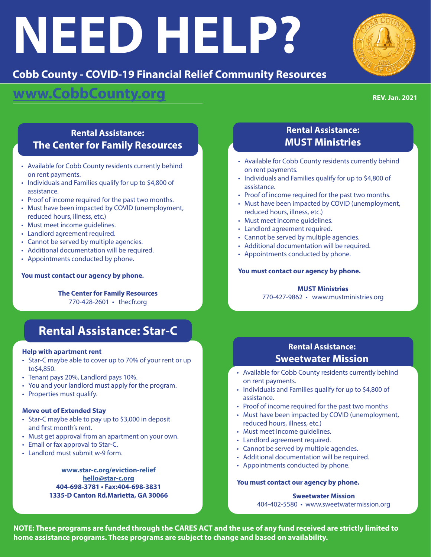# **NEED HELP?**

## **Cobb County - COVID-19 Financial Relief Community Resources**

# **www.CobbCounty.org**

**REV. Jan. 2021**

## **Rental Assistance: The Center for Family Resources**

- Available for Cobb County residents currently behind on rent payments.
- Individuals and Families qualify for up to \$4,800 of assistance.
- Proof of income required for the past two months.
- Must have been impacted by COVID (unemployment, reduced hours, illness, etc.)
- Must meet income guidelines.
- Landlord agreement required.
- Cannot be served by multiple agencies.
- Additional documentation will be required.
- Appointments conducted by phone.

## **You must contact our agency by phone.**

**The Center for Family Resources** 770-428-2601 • thecfr.org

# **Rental Assistance: Star-C**

#### **Help with apartment rent**

- Star-C maybe able to cover up to 70% of your rent or up to\$4,850.
- Tenant pays 20%, Landlord pays 10%.
- You and your landlord must apply for the program.
- Properties must qualify.

## **Move out of Extended Stay**

- Star-C maybe able to pay up to \$3,000 in deposit and first month's rent.
- Must get approval from an apartment on your own.
- Email or fax approval to Star-C.
- Landlord must submit w-9 form.

**www.star-c.org/eviction-relief hello@star-c.org 404-698-3781 • Fax:404-698-3831 1335-D Canton Rd.Marietta, GA 30066**

## **Rental Assistance: MUST Ministries**

- Available for Cobb County residents currently behind on rent payments.
- Individuals and Families qualify for up to \$4,800 of assistance.
- Proof of income required for the past two months.
- Must have been impacted by COVID (unemployment, reduced hours, illness, etc.)
- Must meet income guidelines.
- Landlord agreement required.
- Cannot be served by multiple agencies.
- Additional documentation will be required.
- Appointments conducted by phone.

## **You must contact our agency by phone.**

## **MUST Ministries**

770-427-9862 • www.mustministries.org

## **Rental Assistance: Sweetwater Mission**

- Available for Cobb County residents currently behind on rent payments.
- Individuals and Families qualify for up to \$4,800 of assistance.
- Proof of income required for the past two months
- Must have been impacted by COVID (unemployment, reduced hours, illness, etc.)
- Must meet income guidelines.
- Landlord agreement required.
- Cannot be served by multiple agencies.
- Additional documentation will be required.
- Appointments conducted by phone.

#### **You must contact our agency by phone.**

**Sweetwater Mission** 404-402-5580 • www.sweetwatermission.org

**NOTE: These programs are funded through the CARES ACT and the use of any fund received are strictly limited to home assistance programs. These programs are subject to change and based on availability.**